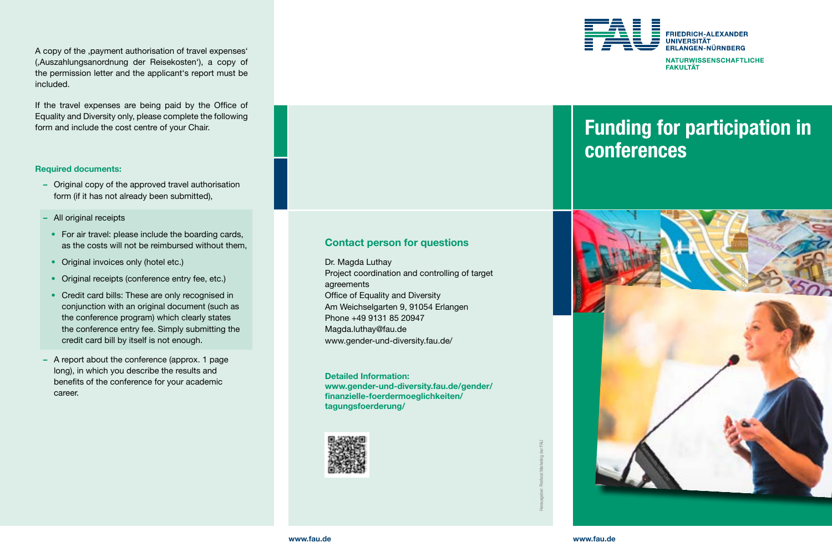A copy of the ,payment authorisation of travel expenses' (,Auszahlungsanordnung der Reisekosten'), a copy of the permission letter and the applicant's report must be included.

If the travel expenses are being paid by the Office of Equality and Diversity only, please complete the following form and include the cost centre of your Chair.

#### Required documents:

- Original copy of the approved travel authorisation form (if it has not already been submitted),
- All original receipts
- For air travel: please include the boarding cards, as the costs will not be reimbursed without them,
- Original invoices only (hotel etc.)
- Original receipts (conference entry fee, etc.)
- Credit card bills: These are only recognised in conjunction with an original document (such as the conference program) which clearly states the conference entry fee. Simply submitting the credit card bill by itself is not enough.
- A report about the conference (approx. 1 page long), in which you describe the results and benefits of the conference for your academic career.

## Contact person for questions

Dr. Magda Luthay Project coordination and controlling of target agreements Office of Equality and Diversity Am Weichselgarten 9, 91054 Erlangen Phone +49 9131 85 20947 [Magda.luthay@fau.de](mailto:Magda.luthay@fau.de) [www.gender-und-diversity.fau.de/](https://www.gender-und-diversity.fau.de/)

Detailed Information: [www.gender-und-diversity.fau.de/gender/](https://www.gender-und-diversity.fau.de/gender/finanzielle-foerdermoeglichkeiten/tagungsfoerderung/) [finanzielle-foerdermoeglichkeiten/](https://www.gender-und-diversity.fau.de/gender/finanzielle-foerdermoeglichkeiten/tagungsfoerderung/) [tagungsfoerderung/](https://www.gender-und-diversity.fau.de/gender/finanzielle-foerdermoeglichkeiten/tagungsfoerderung/)





# Funding for participation in conferences



Herausgeber: Rreferat Marketing der FAU